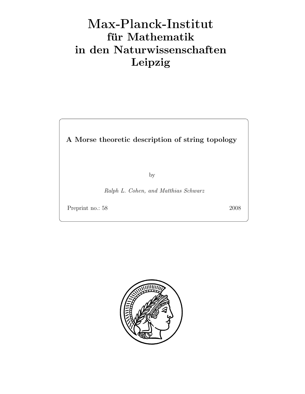# Max-Plan
k-Institut für Mathematik in den Naturwissenschaften Leipzig

A Morse theoretic description of string topology

by

Ralph L. Cohen, and Matthias Schwarz

Preprint no.: 58 2008

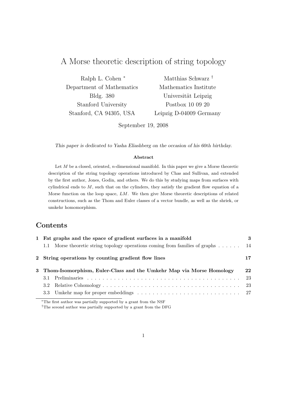# A Morse theoretic description of string topology

| Ralph L. Cohen *          | Matthias Schwarz <sup>†</sup> |
|---------------------------|-------------------------------|
| Department of Mathematics | Mathematics Institute         |
| Bldg. 380                 | Universität Leipzig           |
| Stanford University       | Postbox 10 09 20              |
| Stanford, CA 94305, USA   | Leipzig D-04009 Germany       |

September 19, 2008

This paper is dedicated to Yasha Eliashberg on the occasion of his 60th birthday.

### Abstract

Let  $M$  be a closed, oriented, n-dimensional manifold. In this paper we give a Morse theoretic description of the string topology operations introduced by Chas and Sullivan, and extended by the first author, Jones, Godin, and others. We do this by studying maps from surfaces with cylindrical ends to  $M$ , such that on the cylinders, they satisfy the gradient flow equation of a Morse function on the loop space, LM. We then give Morse theoretic descriptions of related constructions, such as the Thom and Euler classes of a vector bundle, as well as the shriek, or umkehr homomorphism.

# Contents

| 1 Fat graphs and the space of gradient surfaces in a manifold                              |     |
|--------------------------------------------------------------------------------------------|-----|
| Morse theoretic string topology operations coming from families of graphs $\dots$ .<br>1.1 | -14 |
| 2 String operations by counting gradient flow lines                                        | 17  |
| 3 Thom-Isomorphism, Euler-Class and the Umkehr Map via Morse Homology                      |     |
|                                                                                            | 23  |
|                                                                                            |     |
|                                                                                            |     |
|                                                                                            |     |

<sup>∗</sup>The first author was partially supported by a grant from the NSF

†The sceond author was partially supported by a grant from the DFG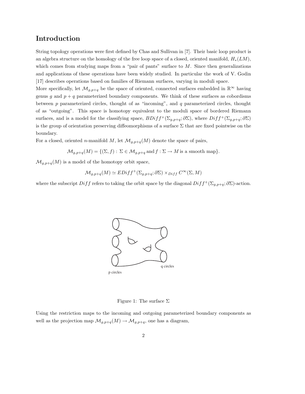## Introduction

String topology operations were first defined by Chas and Sullivan in [7]. Their basic loop product is an algebra structure on the homology of the free loop space of a closed, oriented manifold,  $H_*(LM)$ , which comes from studying maps from a "pair of pants" surface to  $M$ . Since then generalizations and applications of these operations have been widely studied. In particular the work of V. Godin [17] describes operations based on families of Riemann surfaces, varying in moduli space.

More specifically, let  $\mathcal{M}_{q,p+q}$  be the space of oriented, connected surfaces embedded in  $\mathbb{R}^{\infty}$  having genus g and  $p + q$  parameterized boundary components. We think of these surfaces as cobordisms between  $p$  parameterized circles, thought of as "incoming", and  $q$  parameterized circles, thought of as "outgoing". This space is homotopy equivalent to the moduli space of bordered Riemann surfaces, and is a model for the classifying space,  $BDiff^+(\Sigma_{g,p+q};\partial\Sigma)$ , where  $Diff^+(\Sigma_{g,p+q};\partial\Sigma)$ is the group of orientation preserving diffeomorphisms of a surface  $\Sigma$  that are fixed pointwise on the boundary.

For a closed, oriented n-manifold M, let  $\mathcal{M}_{g,p+q}(M)$  denote the space of pairs,

$$
\mathcal{M}_{g,p+q}(M) = \{(\Sigma, f) : \Sigma \in \mathcal{M}_{g,p+q} \text{ and } f : \Sigma \to M \text{ is a smooth map}\}.
$$

 $\mathcal{M}_{g,p+q}(M)$  is a model of the homotopy orbit space,

$$
\mathcal{M}_{g,p+q}(M) \simeq EDiff^{+}(\Sigma_{g,p+q}; \partial \Sigma) \times_{Diff} C^{\infty}(\Sigma, M)
$$

where the subscript  $Diff$  refers to taking the orbit space by the diagonal  $Diff^+(\Sigma_{g,p+q}; \partial \Sigma)$ -action.



Figure 1: The surface  $\Sigma$ 

Using the restriction maps to the incoming and outgoing parameterized boundary components as well as the projection map  $\mathcal{M}_{g,p+q}(M) \to \mathcal{M}_{g,p+q}$ , one has a diagram,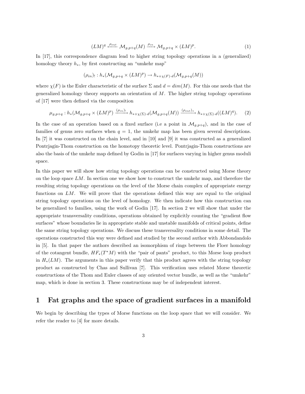$$
(LM)^q \xleftarrow{\rho_{out}} \mathcal{M}_{g,p+q}(M) \xrightarrow{\rho_{in}} \mathcal{M}_{g,p+q} \times (LM)^p. \tag{1}
$$

In [17], this correspondence diagram lead to higher string topology operations in a (generalized) homology theory  $h_*$ , by first constructing an "umkehr map"

$$
(\rho_{in})_! : h_*(\mathcal{M}_{g,p+q} \times (LM)^p) \to h_{*+\chi(F)\cdot d}(\mathcal{M}_{g,p+q}(M))
$$

where  $\chi(F)$  is the Euler characteristic of the surface  $\Sigma$  and  $d = dim(M)$ . For this one needs that the generalized homology theory supports an orientation of  $M$ . The higher string topology operations of [17] were then defined via the composition

$$
\mu_{g,p+q}: h_*(\mathcal{M}_{g,p+q} \times (LM)^p) \xrightarrow{(\rho_{in})_!} h_{*+\chi(\Sigma) \cdot d}(\mathcal{M}_{g,p+q}(M)) \xrightarrow{(\rho_{out})_*} h_{*+\chi(\Sigma) \cdot d}((LM)^q).
$$
 (2)

In the case of an operation based on a fixed surface (i.e a point in  $\mathcal{M}_{g,p+q}$ ), and in the case of families of genus zero surfaces when  $q = 1$ , the umkehr map has been given several descriptions. In [7] it was constructed on the chain level, and in [10] and [9] it was constructed as a generalized Pontrjagin-Thom construction on the homotopy theoretic level. Pontrjagin-Thom constructions are also the basis of the umkehr map defined by Godin in [17] for surfaces varying in higher genus moduli space.

In this paper we will show how string topology operations can be constructed using Morse theory on the loop space  $LM$ . In section one we show how to construct the umkehr map, and therefore the resulting string topology operations on the level of the Morse chain complex of appropriate energy functions on  $LM$ . We will prove that the operations defined this way are equal to the original string topology operations on the level of homology. We then indicate how this construction can be generalized to families, using the work of Godin [17]. In section 2 we will show that under the appropriate transversality conditions, operations obtained by explicitly counting the "gradient flow surfaces" whose boundaries lie in appropriate stable and unstable manifolds of critical points, define the same string topology operations. We discuss these transversality conditions in some detail. The operations constructed this way were defined and studied by the second author with Abbondandolo in [5]. In that paper the authors described an isomorphism of rings between the Floer homology of the cotangent bundle,  $HF_*(T^*M)$  with the "pair of pants" product, to this Morse loop product in  $H_*(LM)$ . The arguments in this paper verify that this product agrees with the string topology product as constructed by Chas and Sullivan [7]. This verification uses related Morse theoretic constructions of the Thom and Euler classes of any oriented vector bundle, as well as the "umkehr" map, which is done in section 3. These constructions may be of independent interest.

### 1 Fat graphs and the space of gradient surfaces in a manifold

We begin by describing the types of Morse functions on the loop space that we will consider. We refer the reader to [4] for more details.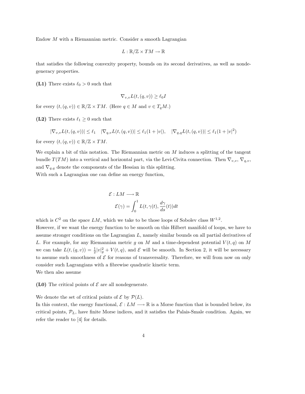Endow M with a Riemannian metric. Consider a smooth Lagrangian

$$
L:\mathbb{R}/\mathbb{Z}\times TM\to\mathbb{R}
$$

that satisfies the following convexity property, bounds on its second derivatives, as well as nondegeneracy properties.

(L1) There exists  $\ell_0 > 0$  such that

$$
\nabla_{v,v} L(t,(q,v)) \ge \ell_0 I
$$

for every  $(t,(q,v)) \in \mathbb{R}/\mathbb{Z} \times TM$ . (Here  $q \in M$  and  $v \in T_qM$ .)

(L2) There exists  $\ell_1 \geq 0$  such that

 $|\nabla_{v,v}L(t,(q,v))| \leq \ell_1 \quad |\nabla_{q,v}L(t,(q,v))| \leq \ell_1(1+|v|), \quad |\nabla_{q,q}L(t,(q,v))| \leq \ell_1(1+|v|^2)$ 

for every  $(t,(q, v)) \in \mathbb{R}/\mathbb{Z} \times TM$ .

We explain a bit of this notation. The Riemannian metric on M induces a splitting of the tangent bundle  $T(TM)$  into a vertical and horizontal part, via the Levi-Civita connection. Then  $\nabla_{v,v}$ ,  $\nabla_{q,v}$ , and  $\nabla_{q,q}$  denote the components of the Hessian in this splitting. With such a Lagrangian one can define an energy function,

$$
\mathcal{E}: LM \longrightarrow \mathbb{R}
$$

$$
\mathcal{E}(\gamma) = \int_0^1 L(t, \gamma(t), \frac{d\gamma}{ds}(t)) dt
$$

which is  $C^2$  on the space  $LM$ , which we take to be those loops of Sobolev class  $W^{1,2}$ .

However, if we want the energy function to be smooth on this Hilbert manifold of loops, we have to assume stronger conditions on the Lagrangian L, namely similar bounds on all partial derivatives of L. For example, for any Riemannian metric g on M and a time-dependent potential  $V(t,q)$  on M we can take  $L(t, (q, v)) = \frac{1}{2}|v|_g^2 + V(t, q)$ , and  $\mathcal E$  will be smooth. In Section 2, it will be necessary to assume such smoothness of  $\mathcal E$  for reasons of transversality. Therefore, we will from now on only consider such Lagrangians with a fibrewise quadratic kinetic term. We then also assume

(L0) The critical points of  $\mathcal E$  are all nondegenerate.

We denote the set of critical points of  $\mathcal E$  by  $\mathcal P(L)$ .

In this context, the energy functional,  $\mathcal{E}: LM \longrightarrow \mathbb{R}$  is a Morse function that is bounded below, its critical points,  $\mathcal{P}_L$ , have finite Morse indices, and it satisfies the Palais-Smale condition. Again, we refer the reader to [4] for details.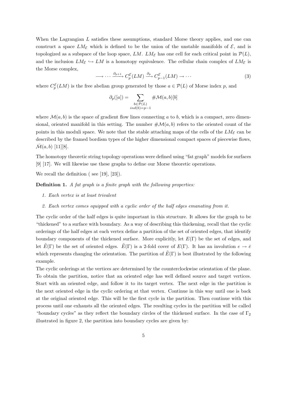When the Lagrangian L satisfies these assumptions, standard Morse theory applies, and one can construct a space  $LM_{\mathcal{E}}$  which is defined to be the union of the unstable manifolds of  $\mathcal{E}$ , and is topologized as a subspace of the loop space, LM. LM<sub>E</sub> has one cell for each critical point in  $\mathcal{P}(L)$ , and the inclusion  $LM_{\mathcal{E}} \hookrightarrow LM$  is a homotopy equivalence. The cellular chain complex of  $LM_{\mathcal{E}}$  is the Morse complex,

$$
\longrightarrow \cdots \xrightarrow{\partial_{p+1}} C_p^{\mathcal{E}}(LM) \xrightarrow{\partial_p} C_{p-1}^{\mathcal{E}}(LM) \to \cdots \tag{3}
$$

where  $C_p^{\mathcal{E}}(LM)$  is the free abelian group generated by those  $a \in \mathcal{P}(L)$  of Morse index p, and

$$
\partial_p([a]) = \sum_{\substack{b \in \mathcal{P}(L) \\ ind(b) = p-1}} \# \mathcal{M}(a, b)[b]
$$

where  $\mathcal{M}(a, b)$  is the space of gradient flow lines connecting a to b, which is a compact, zero dimensional, oriented manifold in this setting. The number  $\#\mathcal{M}(a, b)$  refers to the oriented count of the points in this moduli space. We note that the stable attaching maps of the cells of the  $LM_{\mathcal{E}}$  can be described by the framed bordism types of the higher dimensional compact spaces of piecewise flows,  $\mathcal{M}(a, b)$  [11][8].

The homotopy theoretic string topology operations were defined using "fat graph" models for surfaces [9] [17]. We will likewise use these graphs to define our Morse theoretic operations.

We recall the definition (see [19], [23]).

**Definition 1.** A fat graph is a finite graph with the following properties:

- 1. Each vertex is at least trivalent
- 2. Each vertex comes equipped with a cyclic order of the half edges emanating from it.

The cyclic order of the half edges is quite important in this structure. It allows for the graph to be "thickened" to a surface with boundary. As a way of describing this thickening, recall that the cyclic orderings of the half edges at each vertex define a partition of the set of oriented edges, that identify boundary components of the thickened surface. More explicitly, let  $E(\Gamma)$  be the set of edges, and let  $\tilde{E}(\Gamma)$  be the set of oriented edges.  $\tilde{E}(\Gamma)$  is a 2-fold cover of  $E(\Gamma)$ . It has an involution  $e \to \bar{e}$ which represents changing the orientation. The partition of  $\tilde{E}(\Gamma)$  is best illustrated by the following example.

The cyclic orderings at the vertices are determined by the counterclockwise orientation of the plane. To obtain the partition, notice that an oriented edge has well defined source and target vertices. Start with an oriented edge, and follow it to its target vertex. The next edge in the partition is the next oriented edge in the cyclic ordering at that vertex. Continue in this way until one is back at the original oriented edge. This will be the first cycle in the partition. Then continue with this process until one exhausts all the oriented edges. The resulting cycles in the partition will be called "boundary cycles" as they reflect the boundary circles of the thickened surface. In the case of  $\Gamma_2$ illustrated in figure 2, the partition into boundary cycles are given by: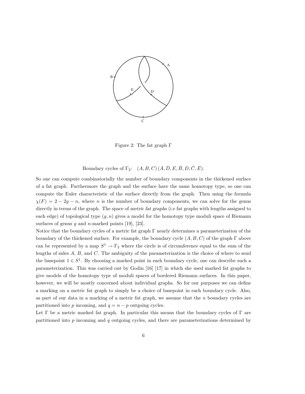

Figure 2: The fat graph Γ

### Boundary cycles of  $\Gamma_2$ :  $(A, B, C)$   $(\overline{A}, \overline{D}, E, \overline{B}, D, \overline{C}, \overline{E})$ .

So one can compute combinatorially the number of boundary components in the thickened surface of a fat graph. Furthermore the graph and the surface have the same homotopy type, so one can compute the Euler characteristic of the surface directly from the graph. Then using the formula  $\chi(F) = 2 - 2g - n$ , where n is the number of boundary components, we can solve for the genus directly in terms of the graph. The space of metric fat graphs (i.e fat graphs with lengths assigned to each edge) of topological type  $(g, n)$  gives a model for the homotopy type moduli space of Riemann surfaces of genus g and n-marked points  $[19]$ ,  $[23]$ .

Notice that the boundary cycles of a metric fat graph Γ nearly determines a parameterization of the boundary of the thickened surface. For example, the boundary cycle  $(A, B, C)$  of the graph Γ above can be represented by a map  $S^1 \to \Gamma_2$  where the circle is of circumference equal to the sum of the lengths of sides  $A, B$ , and  $C$ . The ambiguity of the parameterization is the choice of where to send the basepoint  $1 \in S^1$ . By choosing a marked point in each boundary cycle, one can describe such a parameterization. This was carried out by Godin [16] [17] in which she used marked fat graphs to give models of the homotopy type of moduli spaces of bordered Riemann surfaces. In this paper, however, we will be mostly concerned about individual graphs. So for our purposes we can define a marking on a metric fat graph to simply be a choice of basepoint in each boundary cycle. Also, as part of our data in a marking of a metric fat graph, we assume that the  $n$  boundary cycles are partitioned into p incoming, and  $q = n - p$  outgoing cycles.

Let  $\Gamma$  be a metric marked fat graph. In particular this means that the boundary cycles of  $\Gamma$  are partitioned into  $p$  incoming and  $q$  outgoing cycles, and there are parameterizations determined by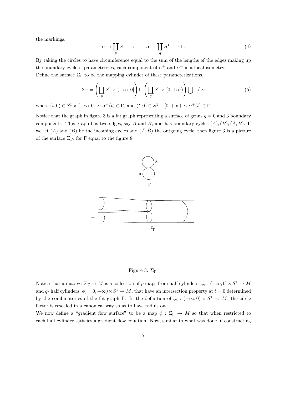the markings,

$$
\alpha^- : \coprod_p S^1 \longrightarrow \Gamma, \quad \alpha^+ : \coprod_q S^1 \longrightarrow \Gamma.
$$
 (4)

By taking the circles to have circumference equal to the sum of the lengths of the edges making up the boundary cycle it parameterizes, each component of  $\alpha^+$  and  $\alpha^-$  is a local isometry. Define the surface  $\Sigma_{\Gamma}$  to be the mapping cylinder of these parameterizations,

$$
\Sigma_{\Gamma} = \left(\coprod_{p} S^{1} \times (-\infty, 0]\right) \sqcup \left(\coprod_{q} S^{1} \times [0, +\infty)\right) \bigcup \Gamma/\sim
$$
 (5)

where  $(t,0) \in S^1 \times (-\infty,0] \sim \alpha^-(t) \in \Gamma$ , and  $(t,0) \in S^1 \times [0,+\infty) \sim \alpha^+(t) \in \Gamma$ 

Notice that the graph in figure 3 is a fat graph representing a surface of genus  $g = 0$  and 3 boundary components. This graph has two edges, say A and B, and has boundary cycles  $(A), (B), (\overline{A}, \overline{B})$ . If we let (A) and (B) be the incoming cycles and  $(\bar{A}, \bar{B})$  the outgoing cycle, then figure 3 is a picture of the surface  $\Sigma_{\Gamma}$ , for  $\Gamma$  equal to the figure 8.



Figure 3:  $\Sigma_\Gamma$ 

Notice that a map  $\phi : \Sigma_{\Gamma} \to M$  is a collection of p maps from half cylinders,  $\phi_i : (-\infty, 0] \times S^1 \to M$ and q- half cylinders,  $\phi_j : [0, +\infty) \times S^1 \to M$ , that have an intersection property at  $t = 0$  determined by the combinatorics of the fat graph  $\Gamma$ . In the definition of  $\phi_i : (-\infty, 0) \times S^1 \to M$ , the circle factor is rescaled in a canonical way so as to have radius one.

We now define a "gradient flow surface" to be a map  $\phi : \Sigma_{\Gamma} \to M$  so that when restricted to each half cylinder satisfies a gradient flow equation. Now, similar to what was done in constructing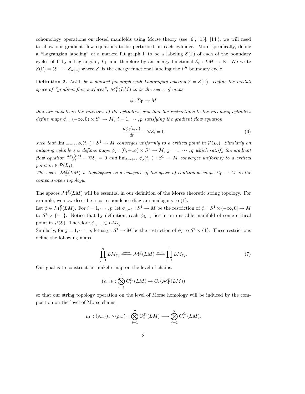cohomology operations on closed manifolds using Morse theory (see [6], [15], [14]), we will need to allow our gradient flow equations to be perturbed on each cylinder. More specifically, define a "Lagrangian labeling" of a marked fat graph  $\Gamma$  to be a labeling  $\mathcal{E}(\Gamma)$  of each of the boundary cycles of  $\Gamma$  by a Lagrangian,  $L_i$ , and therefore by an energy functional  $\mathcal{E}_i: LM \to \mathbb{R}$ . We write  $\mathcal{E}(\Gamma) = (\mathcal{E}_1, \cdots \mathcal{E}_{p+q})$  where  $\mathcal{E}_i$  is the energy functional labeling the  $i^{th}$  boundary cycle.

**Definition 2.** Let  $\Gamma$  be a marked fat graph with Lagrangian labeling  $\mathcal{E} = \mathcal{E}(\Gamma)$ . Define the moduli space of "gradient flow surfaces",  $\mathcal{M}_{\Gamma}^{\mathcal{E}}(LM)$  to be the space of maps

$$
\phi:\Sigma_\Gamma\to M
$$

that are smooth in the interiors of the cylinders, and that the restrictions to the incoming cylinders define maps  $\phi_i: (-\infty,0) \times S^1 \to M$ ,  $i=1,\cdots,p$  satisfying the gradient flow equation

$$
\frac{d\phi_i(t,s)}{dt} + \nabla \mathcal{E}_i = 0\tag{6}
$$

such that  $\lim_{t\to-\infty}\phi_i(t,\cdot): S^1\to M$  converges uniformly to a critical point in  $\mathcal{P}(L_i)$ . Similarly on outgoing cylinders  $\phi$  defines maps  $\phi_j : (0, +\infty) \times S^1 \to M$ ,  $j = 1, \dots, q$  which satisfy the gradient flow equation  $\frac{d\phi_j(t,s)}{dt} + \nabla \mathcal{E}_j = 0$  and  $\lim_{t\to +\infty} \phi_j(t,\cdot) : S^1 \to M$  converges uniformly to a critical point in  $\in \mathcal{P}(L_i)$ .

The space  $M_{\Gamma}^{\mathcal{E}}(LM)$  is topologized as a subspace of the space of continuous maps  $\Sigma_{\Gamma} \to M$  in the compact-open topology.

The spaces  $\mathcal{M}_{\Gamma}^{\mathcal{E}}(LM)$  will be essential in our definition of the Morse theoretic string topology. For example, we now describe a correspondence diagram analogous to (1).

Let  $\phi \in \mathcal{M}_{\Gamma}^{\mathcal{E}}(LM)$ . For  $i = 1, \cdots, p$ , let  $\phi_{i,-1} : S^1 \to M$  be the restriction of  $\phi_i : S^1 \times (-\infty, 0] \to M$ to  $S^1 \times \{-1\}$ . Notice that by definition, each  $\phi_{i,-1}$  lies in an unstable manifold of some critical point in  $\mathcal{P}(\mathcal{E})$ . Therefore  $\phi_{i,-1} \in LM_{\mathcal{E}_i}$ .

Similarly, for  $j = 1, \dots, q$ , let  $\phi_{j,1} : S^1 \to M$  be the restriction of  $\phi_j$  to  $S^1 \times \{1\}$ . These restrictions define the following maps.

$$
\prod_{j=1}^{q} LM_{\mathcal{E}_j} \xleftarrow{\rho_{out}} \mathcal{M}_{\Gamma}^{\mathcal{E}}(LM) \xrightarrow{\rho_{in}} \prod_{i=1}^{p} LM_{\mathcal{E}_i}.
$$
 (7)

Our goal is to construct an umkehr map on the level of chains,

$$
(\rho_{in})_! : \bigotimes_{i=1}^p C^{\mathcal{E}_i}_*(LM) \to C_*(\mathcal{M}^{\mathcal{E}}_{\Gamma}(LM))
$$

so that our string topology operation on the level of Morse homology will be induced by the composition on the level of Morse chains,

$$
\mu_{\Gamma}: (\rho_{out})_* \circ (\rho_{in})_! : \bigotimes_{i=1}^p C^{\mathcal{E}_i}_*(LM) \longrightarrow \bigotimes_{j=1}^q C^{\mathcal{E}_j}_*(LM).
$$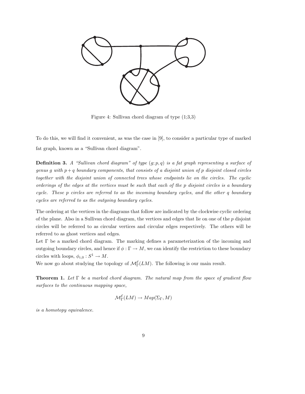

Figure 4: Sullivan chord diagram of type (1;3,3)

To do this, we will find it convenient, as was the case in [9], to consider a particular type of marked fat graph, known as a "Sullivan chord diagram".

**Definition 3.** A "Sullivan chord diagram" of type  $(g; p, q)$  is a fat graph representing a surface of genus q with  $p + q$  boundary components, that consists of a disjoint union of p disjoint closed circles together with the disjoint union of connected trees whose endpoints lie on the circles. The cyclic orderings of the edges at the vertices must be such that each of the p disjoint circles is a boundary cycle. These p circles are referred to as the incoming boundary cycles, and the other q boundary cycles are referred to as the outgoing boundary cycles.

The ordering at the vertices in the diagrams that follow are indicated by the clockwise cyclic ordering of the plane. Also in a Sullivan chord diagram, the vertices and edges that lie on one of the  $p$  disjoint circles will be referred to as circular vertices and circular edges respectively. The others will be referred to as ghost vertices and edges.

Let Γ be a marked chord diagram. The marking defines a parameterization of the incoming and outgoing boundary circles, and hence if  $\phi : \Gamma \to M$ , we can identify the restriction to these boundary circles with loops,  $\phi_{i,0}: S^1 \to M$ .

We now go about studying the topology of  $\mathcal{M}_{\Gamma}^{\mathcal{E}}(LM)$ . The following is our main result.

**Theorem 1.** Let  $\Gamma$  be a marked chord diagram. The natural map from the space of gradient flow surfaces to the continuous mapping space,

$$
\mathcal{M}^{\mathcal{E}}_{\Gamma}(LM) \to Map(\Sigma_{\Gamma}, M)
$$

is a homotopy equivalence.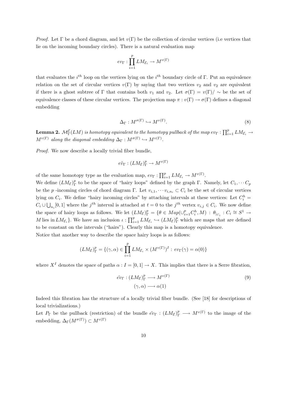*Proof.* Let  $\Gamma$  be a chord diagram, and let  $v(\Gamma)$  be the collection of circular vertices (i.e vertices that lie on the incoming boundary circles). There is a natural evaluation map

$$
ev_{\Gamma}: \prod_{i=1}^p LM_{\mathcal{E}_i} \to M^{v(\Gamma)}
$$

that evaluates the  $i^{th}$  loop on the vertices lying on the  $i^{th}$  boundary circle of Γ. Put an equivalence relation on the set of circular vertices  $v(\Gamma)$  by saying that two vertices  $v_2$  and  $v_2$  are equivalent if there is a ghost subtree of Γ that contains both  $v_1$  and  $v_2$ . Let  $\sigma(\Gamma) = v(\Gamma)/\sim$  be the set of equivalence classes of these circular vertices. The projection map  $\pi : v(\Gamma) \to \sigma(\Gamma)$  defines a diagonal embedding

$$
\Delta_{\Gamma} : M^{\sigma(\Gamma)} \hookrightarrow M^{v(\Gamma)}.
$$
\n
$$
(8)
$$

 ${\bf Lemma~2.}~~ \mathcal{M}^{\mathcal{E}}_{\Gamma}(LM)$  is homotopy equivalent to the homotopy pullback of the map  $ev_\Gamma:\prod_{i=1}^pLM_{{\mathcal{E}}_i}\to$  $M^{v(\Gamma)}$  along the diagonal embedding  $\Delta_{\Gamma}: M^{\sigma(\Gamma)} \hookrightarrow M^{v(\Gamma)}$ .

Proof. We now describe a locally trivial fiber bundle,

$$
e\tilde{v}_{\Gamma} : (LM_{\mathcal{E}})^p_{\Gamma} \to M^{v(\Gamma)}
$$

of the same homotopy type as the evaluation map,  $ev_{\Gamma} : \prod_{i=1}^{p} LM_{\mathcal{E}_i} \to M^{v(\Gamma)}$ .

We define  $(LM_{\mathcal{E}})_\Gamma^p$  to be the space of "hairy loops" defined by the graph  $\Gamma$ . Namely, let  $C_1, \cdots C_p$ be the p -incoming circles of chord diagram Γ. Let  $v_{i,1}, \cdots v_{i,n_i} \subset C_i$  be the set of circular vertices lying on  $C_i$ . We define "hairy incoming circles" by attaching intervals at these vertices: Let  $C_i^h$  =  $C_i \cup \bigcup_{n_i} [0,1]$  where the j<sup>th</sup> interval is attached at  $t = 0$  to the j<sup>th</sup> vertex  $v_{i,j} \in C_i$ . We now define the space of hairy loops as follows. We let  $(LM_{\mathcal{E}})_\Gamma^p = \{ \theta \in Map(\cup_{i=1}^p C_i^h, M) : \theta_{|_{C_i}} : C_i \cong S^1 \to \emptyset \}$ M lies in  $LM_{\mathcal{E}_i}$ . We have an inclusion  $\iota : \prod_{i=1}^p LM_{\mathcal{E}_i} \hookrightarrow (LM_{\mathcal{E}})_\Gamma^p$  which are maps that are defined to be constant on the intervals ("hairs"). Clearly this map is a homotopy equivalence. Notice that another way to describe the space hairy loops is as follows:

$$
(LM_{\mathcal{E}})_{\Gamma}^p = \{(\gamma, \alpha) \in \prod_{i=1}^p LM_{\mathcal{E}_i} \times (M^{v(\Gamma)})^I : ev_{\Gamma}(\gamma) = \alpha(0)\}
$$

where  $X^I$  denotes the space of paths  $\alpha : I = [0, 1] \rightarrow X$ . This implies that there is a Serre fibration,

$$
\tilde{ev}_{\Gamma} : (LM_{\mathcal{E}})_{\Gamma}^p \longrightarrow M^{v(\Gamma)} \tag{9}
$$

$$
(\gamma, \alpha) \longrightarrow \alpha(1)
$$

Indeed this fibration has the structure of a locally trivial fiber bundle. (See [18] for descriptions of local trivializations.)

Let  $P_{\Gamma}$  be the pullback (restriction) of the bundle  $\tilde{ev}_{\Gamma} : (LM_{\mathcal{E}})_{\Gamma}^p \longrightarrow M^{v(\Gamma)}$  to the image of the embedding,  $\Delta_{\Gamma}(M^{\sigma(\Gamma)}) \subset M^{v(\Gamma)}$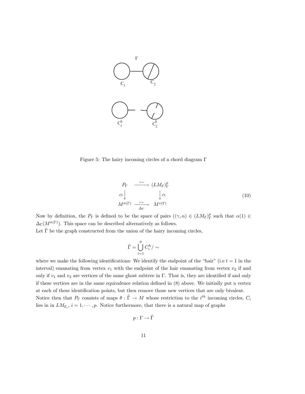

Figure 5: The hairy incoming circles of a chord diagram Γ

$$
P_{\Gamma} \longrightarrow (LM_{\mathcal{E}})^{p}_{\Gamma}
$$
  
\n
$$
\stackrel{\tilde{ev}}{\longrightarrow} \downarrow \stackrel{\tilde{ev}}{\longrightarrow} \downarrow \tilde{ev}
$$
  
\n
$$
M^{\sigma(\Gamma)} \longrightarrow \stackrel{\hookrightarrow}{\longrightarrow} M^{v(\Gamma)}
$$
\n(10)

Now by definition, the  $P_{\Gamma}$  is defined to be the space of pairs  $((\gamma, \alpha) \in (LM_{\mathcal{E}})_{\Gamma}^p$  such that  $\alpha(1) \in$  $\Delta_{\Gamma}(M^{\sigma(\Gamma)})$ . This space can be described alternatively as follows.

Let  $\tilde{\Gamma}$  be the graph constructed from the union of the hairy incoming circles,

$$
\tilde{\Gamma}=\bigcup_{i=1}^p C_i^h/\sim
$$

where we make the following identifications: We identify the endpoint of the "hair" (i.e  $t = 1$  in the interval) emanating from vertex  $v_1$  with the endpoint of the hair emanating from vertex  $v_2$  if and only if  $v_1$  and  $v_2$  are vertices of the same ghost subtree in Γ. That is, they are identified if and only if these vertices are in the same equivalence relation defined in (8) above. We initially put a vertex at each of these identification points, but then remove those new vertices that are only bivalent. Notice then that  $P_{\Gamma}$  consists of maps  $\theta : \tilde{\Gamma} \to M$  whose restriction to the  $i^{th}$  incoming circles,  $C_i$ lies in in  $LM_{\mathcal{E}_i}$ ,  $i = 1, \dots, p$ . Notice furthermore, that there is a natural map of graphs

$$
p:\Gamma\to\tilde\Gamma
$$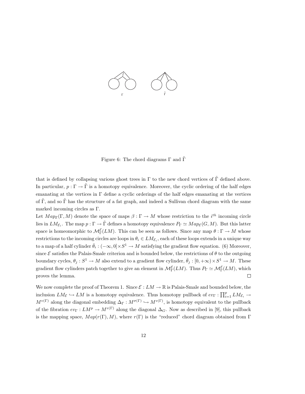

Figure 6: The chord diagrams  $\Gamma$  and  $\tilde{\Gamma}$ 

that is defined by collapsing various ghost trees in  $\Gamma$  to the new chord vertices of  $\tilde{\Gamma}$  defined above. In particular,  $p : \Gamma \to \tilde{\Gamma}$  is a homotopy equivalence. Moreover, the cyclic ordering of the half edges emanating at the vertices in  $\Gamma$  define a cyclic orderings of the half edges emanating at the vertices of  $\tilde{\Gamma}$ , and so  $\tilde{\Gamma}$  has the structure of a fat graph, and indeed a Sullivan chord diagram with the same marked incoming circles as Γ.

Let  $Map_{\mathcal{E}}(\Gamma, M)$  denote the space of maps  $\beta : \Gamma \to M$  whose restriction to the i<sup>th</sup> incoming circle lies in  $LM_{\mathcal{E}_i}$ . The map  $p: \Gamma \to \tilde{\Gamma}$  defines a homotopy equivalence  $P_{\Gamma} \simeq Map_{\mathcal{E}}(G, M)$ . But this latter space is homeomorphic to  $\mathcal{M}_{\Gamma}^{\mathcal{E}}(LM)$ . This can be seen as follows. Since any map  $\theta:\Gamma\to M$  whose restrictions to the incoming circles are loops in  $\theta_i \in LM_{\mathcal{E}_i}$ , each of these loops extends in a unique way to a map of a half cylinder  $\bar{\theta}_i: (-\infty,0] \times S^1 \to M$  satisfying the gradient flow equation. (6) Moreover, since  $\mathcal E$  satisfies the Palais-Smale criterion and is bounded below, the restrictions of  $\theta$  to the outgoing boundary cycles,  $\theta_j: S^1 \to M$  also extend to a gradient flow cylinder,  $\bar{\theta}_j: [0, +\infty) \times S^1 \to M$ . These gradient flow cylinders patch together to give an element in  $\mathcal{M}_{\Gamma}^{\mathcal{E}}(LM)$ . Thus  $P_{\Gamma} \simeq \mathcal{M}_{\Gamma}^{\mathcal{E}}(LM)$ , which proves the lemma.  $\Box$ 

We now complete the proof of Theorem 1. Since  $\mathcal{E}: LM \to \mathbb{R}$  is Palais-Smale and bounded below, the inclusion  $LM_{\mathcal{E}} \hookrightarrow LM$  is a homotopy equivalence. Thus homotopy pullback of  $ev_{\Gamma}: \prod_{i=1}^p LM_{\mathcal{E}_i} \to$  $M^{v(\Gamma)}$  along the diagonal embedding  $\Delta_{\Gamma}: M^{\sigma(\Gamma)} \hookrightarrow M^{v(\Gamma)}$ , is homotopy equivalent to the pullback of the fibration  $ev_{\Gamma}: LM^p \to M^{v(\Gamma)}$  along the diagonal  $\Delta_G$ . Now as described in [9], this pullback is the mapping space,  $Map(r(\Gamma), M)$ , where  $r(\Gamma)$  is the "reduced" chord diagram obtained from  $\Gamma$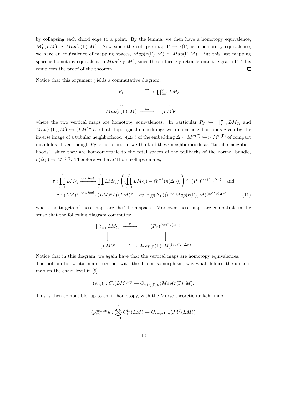by collapsing each chord edge to a point. By the lemma, we then have a homotopy equivalence,  $\mathcal{M}_{\Gamma}^{\mathcal{E}}(LM) \simeq Map(r(\Gamma), M)$ . Now since the collapse map  $\Gamma \to r(\Gamma)$  is a homotopy equivalence, we have an equivalence of mapping spaces,  $Map(r(\Gamma), M) \simeq Map(\Gamma, M)$ . But this last mapping space is homotopy equivalent to  $Map(\Sigma_{\Gamma}, M)$ , since the surface  $\Sigma_{\Gamma}$  retracts onto the graph Γ. This completes the proof of the theorem.  $\Box$ 

Notice that this argument yields a commutative diagram,

$$
P_{\Gamma} \longrightarrow \prod_{i=1}^{p} LM_{\mathcal{E}_i}
$$
  

$$
\downarrow \qquad \qquad \downarrow
$$
  

$$
Map(r(\Gamma), M) \longrightarrow (LM)^p
$$

where the two vertical maps are homotopy equivalences. In particular  $P_{\Gamma} \hookrightarrow \prod_{i=1}^{p} LM_{\mathcal{E}_i}$  and  $Map(r(\Gamma), M) \hookrightarrow (LM)^p$  are both topological embeddings with open neighborhoods given by the inverse image of a tubular neighborhood  $\eta(\Delta_{\Gamma})$  of the embedding  $\Delta_{\Gamma}: M^{\sigma(\Gamma)} \hookrightarrow > M^{v(\Gamma)}$  of compact manifolds. Even though  $P_{\Gamma}$  is not smooth, we think of these neighborhoods as "tubular neighborhoods", since they are homeomorphic to the total spaces of the pullbacks of the normal bundle,  $\nu(\Delta_{\Gamma}) \to M^{\sigma(\Gamma)}$ . Therefore we have Thom collapse maps,

$$
\tau : \prod_{i=1}^{p} LM_{\mathcal{E}_i} \xrightarrow{project} \prod_{i=1}^{p} LM_{\mathcal{E}_i} / \left( (\prod_{i=1}^{p} LM_{\mathcal{E}_i}) - \tilde{ev}^{-1}(\eta(\Delta_{\Gamma})) \right) \cong (P_{\Gamma})^{(\tilde{ev})^* \nu(\Delta_{\Gamma})} \text{ and}
$$

$$
\tau : (LM)^p \xrightarrow{project} (LM)^p / ((LM)^p - ev^{-1}(\eta(\Delta_{\Gamma}))) \cong Map(r(\Gamma), M)^{(ev)^* \nu(\Delta_{\Gamma})} \tag{11}
$$

where the targets of these maps are the Thom spaces. Moreover these maps are compatible in the sense that the following diagram commutes:

$$
\Pi_{i=1}^{p} LM_{\mathcal{E}_{i}} \xrightarrow{\tau} (P_{\Gamma})^{(\tilde{ev})^{*}\nu(\Delta_{\Gamma})}
$$
\n
$$
\downarrow \qquad \qquad \downarrow
$$
\n
$$
(LM)^{p} \xrightarrow{\tau} Map(r(\Gamma), M)^{(ev)^{*}\nu(\Delta_{\Gamma})}
$$

Notice that in this diagram, we again have that the vertical maps are homotopy equivalences. The bottom horizontal map, together with the Thom isomorphism, was what defined the umkehr map on the chain level in [9]

$$
(\rho_{in})_! : C_*(LM)^{\otimes p} \to C_{*+\chi(\Gamma)n}(Map(r(\Gamma), M).
$$

This is then compatible, up to chain homotopy, with the Morse theoretic umkehr map,

$$
(\rho_{in}^{morse})_!:\bigotimes_{i=1}^p C^{\mathcal{E}_i}_*(LM)\to C_{*+\chi(\Gamma)n}(\mathcal{M}^{\mathcal{E}}_{\Gamma}(LM))
$$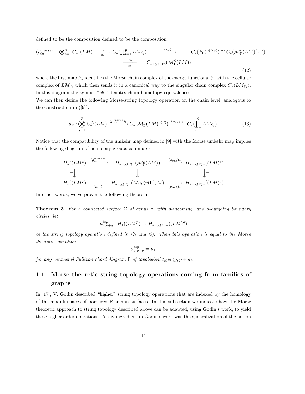defined to be the composition defined to be the composition,

$$
(\rho_{in}^{morse})_! : \bigotimes_{i=1}^p C_*^{\mathcal{E}_i}(LM) \xrightarrow{\quad h_* \quad} C_*(\prod_{i=1}^p LM_{\mathcal{E}_i}) \xrightarrow{\quad (\tau_{\Gamma})_* \quad} C_*(P_{\Gamma})^{\nu(\Delta_{\Gamma})}) \cong C_*(\mathcal{M}_{\Gamma}^{\mathcal{E}}(LM)^{\tilde{\nu}(\Gamma)})
$$
\n
$$
\xrightarrow{\cap u_{\Gamma} \quad} C_{*+\chi(\Gamma)n}(\mathcal{M}_{\Gamma}^{\mathcal{E}}(LM)) \tag{12}
$$

where the first map  $h_*$  identifies the Morse chain complex of the energy functional  $\mathcal{E}_i$  with the cellular complex of  $LM_{\mathcal{E}_i}$  which then sends it in a canonical way to the singular chain complex  $C_*(LM_{\mathcal{E}_i})$ . In this diagram the symbol "  $\cong$  " denotes chain homotopy equivalence.

We can then define the following Morse-string topology operation on the chain level, analogous to the construction in ([9]).

$$
\mu_{\Gamma}: \bigotimes_{i=1}^{p} C_{*}^{\mathcal{E}_{i}}(LM) \xrightarrow{(\rho_{in}^{morse})_{!}} C_{*}(\mathcal{M}_{\Gamma}^{\mathcal{E}}(LM)^{\tilde{\nu}(\Gamma)}) \xrightarrow{(\rho_{out})_{*}} C_{*}(\prod_{j=1}^{q}LM_{\mathcal{E}_{j}}).
$$
 (13)

Notice that the compatibility of the umkehr map defined in [9] with the Morse umkehr map implies the following diagram of homology groups commutes:

$$
H_{*}((LM^{p}) \xrightarrow{(\rho_{in}^{morse})!} H_{*+\chi(\Gamma)n}(\mathcal{M}_{\Gamma}^{\mathcal{E}}(LM)) \xrightarrow{(\rho_{out})*} H_{*+\chi(\Gamma)n}((LM)^{q})
$$
  
\n
$$
= \downarrow \qquad \qquad \downarrow \qquad \qquad \downarrow
$$
  
\n
$$
H_{*}((LM^{p}) \xrightarrow{\qquad (\rho_{in})!} H_{*+\chi(\Gamma)n}(Map(r(\Gamma),M) \xrightarrow{\qquad (\rho_{out})*} H_{*+\chi(\Gamma)n}((LM)^{q})
$$

In other words, we've proven the following theorem.

**Theorem 3.** For a connected surface  $\Sigma$  of genus g, with p-incoming, and q-outgoing boundary circles, let

$$
\mu_{g,p+q}^{top}:H_*((LM^p)\rightarrow H_{*+\chi(\Sigma)n}((LM)^q)
$$

be the string topology operation defined in [7] and [9]. Then this operation is equal to the Morse theoretic operation

$$
\mu_{g,p+q}^{top}=\mu_\Gamma
$$

for any connected Sullivan chord diagram  $\Gamma$  of topological type  $(g, p + q)$ .

# 1.1 Morse theoretic string topology operations coming from families of graphs

In [17], V. Godin described "higher" string topology operations that are indexed by the homology of the moduli spaces of bordered Riemann surfaces. In this subsection we indicate how the Morse theoretic approach to string topology described above can be adapted, using Godin's work, to yield these higher order operations. A key ingredient in Godin's work was the generalization of the notion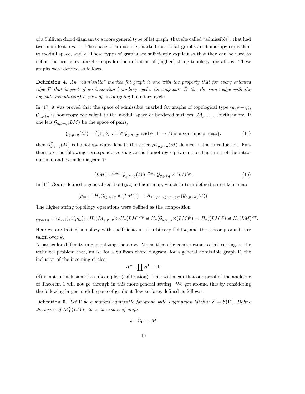of a Sullivan chord diagram to a more general type of fat graph, that she called "admissible", that had two main features: 1. The space of admissible, marked metric fat graphs are homotopy equivalent to moduli space, and 2. These types of graphs are sufficiently explicit so that they can be used to define the necessary umkehr maps for the definition of (higher) string topology operations. These graphs were defined as follows.

Definition 4. An "admissible" marked fat graph is one with the property that for every oriented edge E that is part of an incoming boundary cycle, its conjugate  $\overline{E}$  (i.e the same edge with the opposite orientation) is part of an outgoing boundary cycle.

In [17] it was proved that the space of admissible, marked fat graphs of topological type  $(q, p + q)$ ,  $\mathcal{G}_{g,p+q}$  is homotopy equivalent to the moduli space of bordered surfaces,  $\mathcal{M}_{g,p+q}$ . Furthermore, If one lets  $\mathcal{G}_{g,p+q}(LM)$  be the space of pairs,

$$
\mathcal{G}_{g,p+q}(M) = \{ (\Gamma, \phi) : \Gamma \in \mathcal{G}_{g,p+q}, \text{ and } \phi : \Gamma \to M \text{ is a continuous map} \},\tag{14}
$$

then  $\mathcal{G}^{\mathcal{E}}_{g,p+q}(M)$  is homotopy equivalent to the space  $\mathcal{M}_{g,p+q}(M)$  defined in the introduction. Furthermore the following correspondence diagram is homotopy equivalent to diagram 1 of the introduction, and extends diagram 7:

$$
(LM)^q \xleftarrow{\rho_{out}} \mathcal{G}_{g,p+q}(M) \xrightarrow{\rho_{in}} \mathcal{G}_{g,p+q} \times (LM)^p. \tag{15}
$$

In [17] Godin defined a generalized Pontrjagin-Thom map, which in turn defined an umkehr map

$$
(\rho_{in})_!:H_*(\mathcal{G}_{g,p+q}\times (LM)^p)\rightarrow H_{*+(2-2g+p+q)n}(\mathcal{G}_{g,p+q}(M)).
$$

The higher string topollogy operations were defined as the composition

$$
\mu_{g,p+q} = (\rho_{out})_* \circ (\rho_{in})_! : H_*(\mathcal{M}_{g,p+q}) \otimes H_*(LM)^{\otimes p} \cong H_*(\mathcal{G}_{g,p+q} \times (LM)^p) \to H_*((LM)^q) \cong H_*(LM)^{\otimes q}.
$$

Here we are taking homology with coefficients in an arbitrary field  $k$ , and the tensor products are taken over k.

A particular difficulty in generalizing the above Morse theoretic construction to this setting, is the technical problem that, unlike for a Sullivan chord diagram, for a general admissible graph  $\Gamma$ , the inclusion of the incoming circles,

$$
\alpha^-:\coprod S^1\to \Gamma
$$

(4) is not an inclusion of a subcomplex (cofibration). This will mean that our proof of the analogue of Theorem 1 will not go through in this more general setting. We get around this by considering the following larger moduli space of gradient flow surfaces defined as follows.

**Definition 5.** Let  $\Gamma$  be a marked admissible fat graph with Lagrangian labeling  $\mathcal{E} = \mathcal{E}(\Gamma)$ . Define the space of  $\mathcal{M}_{\Gamma}^{\mathcal{E}}(LM)_{1}$  to be the space of maps

$$
\phi: \Sigma_\Gamma \to M
$$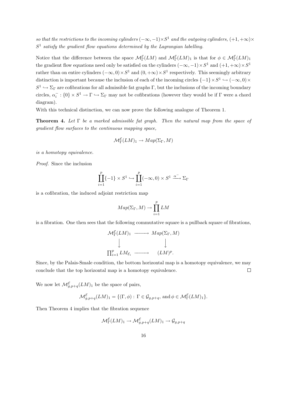so that the restrictions to the incoming cylinders  $(-\infty, -1) \times S^1$  and the outgoing cylinders,  $(+1, +\infty) \times$  $S<sup>1</sup>$  satisfy the gradient flow equations determined by the Lagrangian labelling.

Notice that the difference between the space  $M_{\Gamma}^{\mathcal{E}}(LM)$  and  $M_{\Gamma}^{\mathcal{E}}(LM)$ <sub>1</sub> is that for  $\phi \in M_{\Gamma}^{\mathcal{E}}(LM)$ <sub>1</sub> the gradient flow equations need only be satisfied on the cylinders  $(-\infty, -1) \times S^1$  and  $(+1, +\infty) \times S^1$ rather than on entire cylinders  $(-\infty,0) \times S^1$  and  $(0,+\infty) \times S^1$  respectively. This seemingly arbitrary distinction is important because the inclusion of each of the incoming circles  $\{-1\} \times S^1 \hookrightarrow (-\infty, 0) \times$  $S^1 \hookrightarrow \Sigma_{\Gamma}$  are cofibrations for all admissible fat graphs  $\Gamma$ , but the inclusions of the incoming boundary circles,  $\alpha_i^-$ :  $\{0\} \times S^1 \to \Gamma \hookrightarrow \Sigma_{\Gamma}$  may not be cofibrations (however they would be if  $\Gamma$  were a chord diagram).

With this technical distinction, we can now prove the following analogue of Theorem 1.

**Theorem 4.** Let  $\Gamma$  be a marked admissible fat graph. Then the natural map from the space of gradient flow surfaces to the continuous mapping space,

$$
\mathcal{M}_{\Gamma}^{\mathcal{E}}(LM)_1 \to Map(\Sigma_{\Gamma}, M)
$$

is a homotopy equivalence.

Proof. Since the inclusion

$$
\coprod_{i=1}^{p} \{-1\} \times S^1 \hookrightarrow \coprod_{i=1}^{p} (-\infty, 0) \times S^1 \xrightarrow{\alpha^-} \Sigma_{\Gamma}
$$

is a cofibration, the induced adjoint restriction map

$$
Map(\Sigma_{\Gamma}, M) \to \prod_{i=1}^{p} LM
$$

is a fibration. One then sees that the following commutative square is a pullback square of fibrations,

$$
\mathcal{M}_{\Gamma}^{\mathcal{E}}(LM)_{1} \longrightarrow Map(\Sigma_{\Gamma}, M)
$$
  

$$
\downarrow \qquad \qquad \downarrow
$$
  

$$
\prod_{i=1}^{p} LM_{\mathcal{E}_{i}} \longrightarrow (LM)^{p}.
$$

Since, by the Palais-Smale condition, the bottom horizontal map is a homotopy equivalence, we may conclude that the top horizontal map is a homotopy equivalence.  $\Box$ 

We now let  $\mathcal{M}_{g,p+q}^{\mathcal{E}}(LM)_1$  be the space of pairs,

$$
\mathcal{M}_{g,p+q}^{\mathcal{E}}(LM)_1 = \{ (\Gamma, \phi) : \Gamma \in \mathcal{G}_{g,p+q}, \text{ and } \phi \in \mathcal{M}_{\Gamma}^{\mathcal{E}}(LM)_1 \}.
$$

Then Theorem 4 implies that the fibration sequence

$$
\mathcal{M}^{\mathcal{E}}_{\Gamma}(LM)_1 \rightarrow \mathcal{M}^{\mathcal{E}}_{g,p+q}(LM)_1 \rightarrow \mathcal{G}_{g,p+q}
$$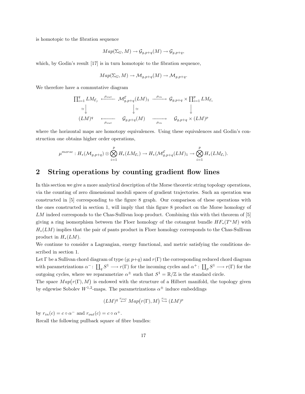is homotopic to the fibration sequence

$$
Map(\Sigma_G, M) \to \mathcal{G}_{g, p+q}(M) \to \mathcal{G}_{g, p+q},
$$

which, by Godin's result [17] is in turn homotopic to the fibration sequence,

$$
Map(\Sigma_G, M) \to \mathcal{M}_{g, p+q}(M) \to \mathcal{M}_{g, p+q}.
$$

We therefore have a commutative diagram

$$
\Pi_{i=1}^{q} LM_{\mathcal{E}_{j}} \xleftarrow{\rho_{out}} \mathcal{M}_{g,p+q}^{\mathcal{E}}(LM)_{1} \xrightarrow{\rho_{in}} \mathcal{G}_{g,p+q} \times \Pi_{i=1}^{p} LM_{\mathcal{E}_{i}}
$$
\n
$$
\simeq \downarrow \qquad \qquad \downarrow \simeq \qquad \qquad \downarrow
$$
\n
$$
(LM)^{q} \xleftarrow{\rho_{out}} \mathcal{G}_{g,p+q}(M) \xrightarrow{\rho_{in}} \mathcal{G}_{g,p+q} \times (LM)^{p}
$$

where the horizontal maps are homotopy equivalences. Using these equivalences and Godin's construction one obtains higher order operations,

$$
\mu^{morse}: H_*(\mathcal{M}_{g,p+q}) \otimes \bigotimes_{i=1}^p H_*(LM_{\mathcal{E}_i}) \to H_*(\mathcal{M}_{g,p+q}^{\mathcal{E}}(LM)_1 \to \bigotimes_{i=1}^p H_*(LM_{\mathcal{E}_i}).
$$

### 2 String operations by counting gradient flow lines

In this section we give a more analytical description of the Morse theoretic string topology operations, via the counting of zero dimensional moduli spaces of gradient trajectories. Such an operation was constructed in [5] corresponding to the figure 8 graph. Our comparison of these operations with the ones constructed in section 1, will imply that this figure 8 product on the Morse homology of LM indeed corresponds to the Chas-Sullivan loop product. Combining this with thei theorem of [5] giving a ring isomorphism between the Floer homology of the cotangent bundle  $HF_*(T^*M)$  with  $H_*(LM)$  implies that the pair of pants product in Floer homology corresponds to the Chas-Sullivan product in  $H_*(LM)$ .

We continue to consider a Lagrangian, energy functional, and metric satisfying the conditions described in section 1.

Let Γ be a Sullivan chord diagram of type  $(g; p+q)$  and  $r(\Gamma)$  the corresponding reduced chord diagram with parametrizations  $\alpha^-: \coprod_q S^1 \longrightarrow r(\Gamma)$  for the incoming cycles and  $\alpha^+: \coprod_p S^1 \longrightarrow r(\Gamma)$  for the outgoing cycles, where we reparametrize  $\alpha^{\pm}$  such that  $S^1 = \mathbb{R}/\mathbb{Z}$  is the standard circle.

The space  $Map(r(\Gamma), M)$  is endowed with the structure of a Hilbert manifold, the topology given by edgewise Sobolev  $W^{1,2}$ -maps. The parametrizations  $\alpha^{\pm}$  induce embeddings

$$
(LM)^q \stackrel{r_{out}}{\leftrightarrow} Map(r(\Gamma), M) \stackrel{r_{in}}{\hookrightarrow} (LM)^p
$$

by  $r_{in}(c) = c \circ \alpha^{-}$  and  $r_{out}(c) = c \circ \alpha^{+}$ .

Recall the following pullback square of fibre bundles: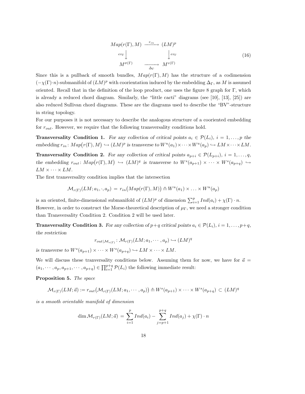$$
Map(r(\Gamma), M) \xrightarrow{r_{in}} (LM)^p
$$
  
\n
$$
ev_{\Gamma} \downarrow \qquad \qquad \downarrow ev_{\Gamma}
$$
  
\n
$$
M^{\sigma(\Gamma)} \xrightarrow{\qquad \qquad } M^{v(\Gamma)} \tag{16}
$$

Since this is a pullback of smooth bundles,  $Map(r(\Gamma), M)$  has the structure of a codimension  $(-\chi(\Gamma)\cdot n)$ -submanifold of  $(LM)^p$  with coorientation induced by the embedding  $\Delta_{\Gamma}$ , as M is assumed oriented. Recall that in the definition of the loop product, one uses the figure 8 graph for  $\Gamma$ , which is already a reduced chord diagram. Similarly, the "little cacti" diagrams (see [10], [13], [25]) are also reduced Sullivan chord diagrams. These are the diagrams used to describe the "BV"-structure in string topology.

For our purposes it is not necessary to describe the analogous structure of a cooriented embedding for  $r_{out}$ . However, we require that the following transversality conditions hold.

**Transversality Condition 1.** For any collection of critical points  $a_i \in \mathcal{P}(L_i)$ ,  $i = 1, \ldots, p$  the embedding  $r_{in} : Map(r(\Gamma), M) \hookrightarrow (LM)^p$  is transverse to  $W^u(a_1) \times \cdots \times W^u(a_p) \hookrightarrow LM \times \cdots \times LM$ .

**Transversality Condition 2.** For any collection of critical points  $a_{p+i} \in \mathcal{P}(L_{p+i}), i = 1, \ldots, q$ , the embedding  $r_{out}$ :  $Map(r(\Gamma), M) \hookrightarrow (LM)^q$  is transverse to  $W^s(a_{p+1}) \times \cdots \times W^s(a_{p+q}) \hookrightarrow$  $LM \times \cdots \times LM$ .

The first transversality condition implies that the intersection

$$
\mathcal{M}_{r(\Gamma)}(LM; a_1, \cdot, a_p) = r_{in}(Map(r(\Gamma), M)) \pitchfork W^u(a_1) \times \ldots \times W^u(a_p)
$$

is an oriented, finite-dimensional submanifold of  $(LM)^p$  of dimension  $\sum_{i=1}^p Ind(a_i) + \chi(\Gamma) \cdot n$ . However, in order to construct the Morse-theoretical description of  $\mu_{\Gamma}$ , we need a stronger condition than Transversality Condition 2. Condition 2 will be used later.

**Transversality Condition 3.** For any collection of  $p+q$  critical points  $a_i \in \mathcal{P}(L_i)$ ,  $i = 1, \ldots, p+q$ , the restriction

$$
r_{out|\mathcal{M}_{r(\Gamma)}} \colon \mathcal{M}_{r(\Gamma)}(LM; a_1, \cdots, a_p) \hookrightarrow (LM)^q
$$

is transverse to  $W^s(a_{p+1}) \times \cdots \times W^s(a_{p+q}) \hookrightarrow LM \times \cdots \times LM$ .

We will discuss these tranversality conditions below. Assuming them for now, we have for  $\vec{a} =$  $(a_1, \dots, a_p, a_{p+1}, \dots, a_{p+q}) \in \prod_{i=1}^{p+q} \mathcal{P}(L_i)$  the following immediate result:

Proposition 5. The space

$$
\mathcal{M}_{r(\Gamma)}(LM; \vec{a}) := r_{out}(\mathcal{M}_{r(\Gamma)}(LM; a_1, \cdots, a_p)) \pitchfork W^s(a_{p+1}) \times \cdots \times W^s(a_{p+q}) \subset (LM)^q
$$

is a smooth orientable manifold of dimension

$$
\dim \mathcal{M}_{r(\Gamma)}(LM; \vec{a}) = \sum_{i=1}^{p} Ind(a_i) - \sum_{j=p+1}^{p+q} Ind(a_j) + \chi(\Gamma) \cdot n
$$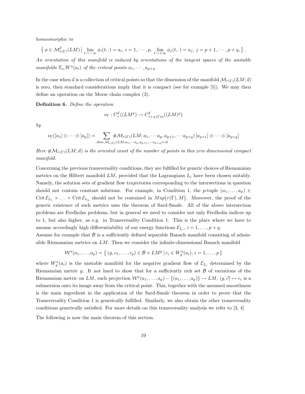homeomorphic to

$$
\left\{ \phi \in \mathcal{M}_{r(\Gamma)}^{\mathcal{E}}(LM) \, \middle| \, \lim_{t \to -\infty} \phi_i(t, \cdot) = a_i, \, i = 1, \cdots, p, \, \lim_{t \to +\infty} \phi_j(t, \cdot) = a_j, \, j = p+1, \cdots, p+q, \right\}.
$$

An orientation of this manifold is induced by orientations of the tangent spaces of the unstable manifolds  $T_{a_i}W^u(a_i)$  of the critical points  $a_1, \cdots, a_{p+q}$ .

In the case when  $\vec{a}$  is a collection of critical points so that the dimension of the manifold  $\mathcal{M}_{r(\Gamma)}(LM;\vec{a})$ is zero, then standard considerations imply that it is compact (see for example [5]). We may then define an operation on the Morse chain complex (3).

Definition 6. Define the operation

$$
\nu_{\Gamma}: C_{*}^{\mathcal{E}}((LM^{p}) \to C_{*+\chi(\Gamma)n}^{\mathcal{E}}((LM)^{q})
$$

by

$$
\nu_{\Gamma}([a_1]\otimes\cdots\otimes[a_p])=\sum_{dim\mathcal{M}_{r(\Gamma)}(LM;a_1,\cdots a_p,a_{p+1},\cdots a_p,q_{p+1})}[a_{p+1}]\otimes\cdots\otimes[a_{p+q}]
$$

Here  $\#\mathcal{M}_{r(\Gamma)}(LM;\vec{a})$  is the oriented count of the number of points in this zero dimensional compact manifold.

Concerning the previous transversality conditions, they are fulfilled for generic choices of Riemannian metrics on the Hilbert manifold  $LM$ , provided that the Lagrangians  $L_i$  have been chosen suitably. Namely, the solution sets of gradient flow trajectories corresponding to the intersections in question should not contain constant solutions. For example, in Condition 1, the p-tuple  $(a_1, \ldots, a_p)$ Crit  $\mathcal{E}_{L_1} \times \ldots \times \text{Crit} \mathcal{E}_{L_p}$  should not be contained in  $Map(r(\Gamma), M)$ . Moreover, the proof of the generic existence of such metrics uses the theorem of Sard-Smale. All of the above intersection problems are Fredholm problems, but in general we need to consider not only Fredholm indices up to 1, but also higher, as e.g. in Transversality Condition 1. This is the place where we have to assume accordingly high differentiability of our energy functions  $\mathcal{E}_{L_i}$ ,  $i = 1, \ldots, p + q$ .

Assume for example that  $\beta$  is a sufficiently defined separable Banach manifold consisting of admissible Riemannian metrics on  $LM$ . Then we consider the infinite-dimensional Banach manifold

$$
\mathcal{W}^u(a_1,\ldots,a_p) = \left\{ (g,c_1,\ldots,c_p) \in \mathcal{B} \times LM^p \,|\, c_i \in W^u_g(a_i),\, i = 1,\ldots,p \right\}
$$

where  $W_g^u(a_i)$  is the unstable manifold for the negative gradient flow of  $\mathcal{E}_{L_i}$  determined by the Riemannian metric  $g$ . It not hard to show that for a sufficiently rich set  $\beta$  of variations of the Riemannian metric on LM, each projection  $W^u(a_1,\ldots,a_p) - \{(a_1,\ldots,a_p)\} \to LM$ ,  $(g, \vec{c}) \mapsto c_i$  is a submersion onto its image away from the critical point. This, together with the assumed smoothness is the main ingredient in the application of the Sard-Smale theorem in order to prove that the Transversality Condition 1 is generically fulfilled. Similarly, we also obtain the other transversality conditions generically satisfied. For more details on this transversality analysis we refer to [3, 4]

The following is now the main theorem of this section.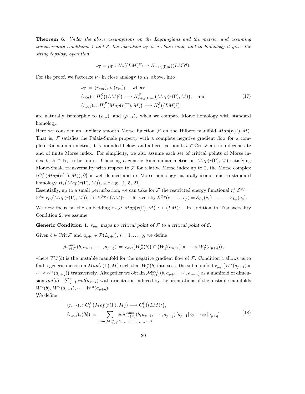**Theorem 6.** Under the above assumptions on the Lagrangians and the metric, and assuming transversality conditions 1 and 3, the operation  $\nu_{\Gamma}$  is a chain map, and in homology it gives the string topology operation

$$
\nu_{\Gamma} = \mu_{\Gamma} : H_*((LM)^p) \to H_{*+\chi(\Gamma)n}((LM)^q).
$$

For the proof, we factorize  $\nu_{\Gamma}$  in close analogy to  $\mu_{\Gamma}$  above, into

$$
\nu_{\Gamma} = (r_{out})_{*} \circ (r_{in})_{!}, \text{ where}
$$
  
\n
$$
(r_{in})_{!} : H_{*}^{\mathcal{E}}((LM)^{p}) \longrightarrow H_{*+\chi(\Gamma)\cdot n}^{\mathcal{F}}(Map(r(\Gamma), M)), \text{ and}
$$
  
\n
$$
(r_{out})_{*} : H_{*}^{\mathcal{F}}(Map(r(\Gamma), M)) \longrightarrow H_{*}^{\mathcal{E}}((LM)^{q})
$$
\n(17)

are naturally isomorphic to  $(\rho_{in})$ ! and  $(\rho_{out})_*$  when we compare Morse homology with standard homology.

Here we consider an auxilary smooth Morse function F on the Hilbert manifold  $Map(r(\Gamma), M)$ . That is,  $\mathcal F$  satisfies the Palais-Smale property with a complete negative gradient flow for a complete Riemannian metric, it is bounded below, and all critical points  $b \in \text{Crit}\,\mathcal{F}$  are non-degenerate and of finite Morse index. For simplicity, we also assume each set of critical points of Morse index k,  $k \in \mathbb{N}$ , to be finite. Choosing a generic Riemannian metric on  $Map(r(\Gamma), M)$  satisfying Morse-Smale transversality with respect to  $\mathcal F$  for relative Morse index up to 2, the Morse complex  $(C_*^{\mathcal{F}}(Map(r(\Gamma),M)), \partial)$  is well-defined and its Morse homology naturally isomorphic to standard homology  $H_*(Map(r(\Gamma), M))$ , see e.g. [1, 5, 21].

Essentially, up to a small perturbation, we can take for  $\mathcal F$  the restricted energy functional  $r_{in}^*\mathcal E^{\otimes p}$  $\mathcal{E}^{\otimes p}|r_{in}(Map(r(\Gamma), M)),$  for  $\mathcal{E}^{\otimes p}$ :  $(LM)^p \to \mathbb{R}$  given by  $\mathcal{E}^{\otimes p}(c_1, \ldots, c_p) = \mathcal{E}_{L_1}(c_1) + \ldots + \mathcal{E}_{L_p}(c_p)$ .

We now focus on the embedding  $r_{out}$ :  $Map(r(\Gamma), M) \hookrightarrow (LM)^q$ . In addition to Transversality Condition 2, we assume

**Generic Condition 4.**  $r_{out}$  maps no critical point of  $\mathcal F$  to a critical point of  $\mathcal E$ .

Given  $b \in \text{Crit } \mathcal{F}$  and  $a_{p+i} \in \mathcal{P}(L_{p+i}), i = 1, \ldots, q$ , we define

$$
\mathcal{M}^{out}_{r(\Gamma)}(b, a_{p+1}, \cdots, a_{p+q}) = r_{out}(W^u_{\mathcal{F}}(b)) \cap (W^s_{\mathcal{E}}(a_{p+1}) \times \cdots \times W^s_{\mathcal{E}}(a_{p+q})),
$$

where  $W_{\mathcal{F}}^u(b)$  is the unstable manifold for the negative gradient flow of  $\mathcal{F}$ . Condition 4 allows us to find a generic metric on  $Map(r(\Gamma), M)$  such that  $W^u_{\mathcal{F}}(b)$  intersects the submanifold  $r_{out}^{-1}(W^s(a_{p+1}) \times$  $\dots \times W^s(a_{p+q})$  transversely. Altogether we obtain  $\mathcal{M}_{r(\Gamma)}^{out}(b, a_{p+1}, \dots, a_{p+q})$  as a manifold of dimension  $ind(b) - \sum_{j=1}^{q} ind(a_{p+j})$  with orientation induced by the orientations of the unstable manifolds  $W^u(b)$ ,  $W^u(a_{p+1}), \cdots, W^u(a_{p+q}).$ 

We define

$$
(r_{out})_*: C_*^{\mathcal{F}}\big(Map(r(\Gamma), M)\big) \longrightarrow C_*^{\mathcal{E}}\big((LM)^q\big),(r_{out})_*([b]) = \sum_{\dim \mathcal{M}_{r(\Gamma)}^{out}(b, a_{p+1}, \cdots, a_{p+q})} \# \mathcal{M}_{r(\Gamma)}^{out}(b, a_{p+1}, \cdots, a_{p+q})[a_{p+1}] \otimes \cdots \otimes [a_{p+q}]
$$
(18)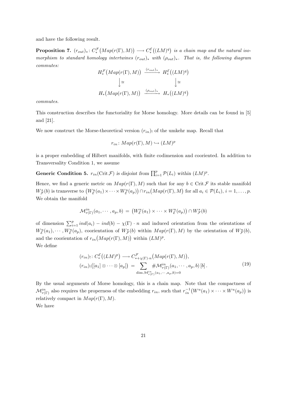and have the following result.

**Proposition 7.**  $(r_{out})_*: C_*^{\mathcal{F}}(Map(r(\Gamma), M)) \longrightarrow C_*^{\mathcal{E}}((LM)^q)$  is a chain map and the natural isomorphism to standard homology intertwines  $(r_{out})_*$  with  $(\rho_{out})_*$ . That is, the following diagram commutes:

$$
H_*^{\mathcal{F}}\big(Map(r(\Gamma),M)\big) \xrightarrow{(r_{out})_*} H_*^{\mathcal{E}}\big((LM)^q\big)
$$

$$
\downarrow \cong \qquad \qquad \downarrow \cong
$$

$$
H_*(Map(r(\Gamma),M)) \xrightarrow{(P_{out})_*} H_*\big((LM)^q\big)
$$

commutes.

This construction describes the functoriality for Morse homology. More details can be found in [5] and [21].

We now construct the Morse-theoretical version  $(r_{in})$  of the umkehr map. Recall that

$$
r_{in} \colon Map(r(\Gamma), M) \hookrightarrow (LM)^p
$$

is a proper embedding of Hilbert manifolds, with finite codimension and cooriented. In addition to Transversality Condition 1, we assume

**Generic Condition 5.**  $r_{in}(\text{Crit}\,\mathcal{F})$  is disjoint from  $\prod_{i=1}^{p} \mathcal{P}(L_i)$  within  $(LM)^p$ .

Hence, we find a generic metric on  $Map(r(\Gamma), M)$  such that for any  $b \in \text{Crit}\mathcal{F}$  its stable manifold  $W_{\mathcal{F}}^{s}(b)$  is transverse to  $(W_{\mathcal{E}}^{u}(a_1) \times \cdots \times W_{\mathcal{E}}^{u}(a_p)) \cap r_{in}(Map(r(\Gamma), M))$  for all  $a_i \in \mathcal{P}(L_i)$ ,  $i = 1, \ldots, p$ . We obtain the manifold

$$
\mathcal{M}_{r(\Gamma)}^{in}(a_1,\dots,a_p,b) = (W_{\mathcal{E}}^u(a_1) \times \dots \times W_{\mathcal{E}}^u(a_p)) \cap W_{\mathcal{F}}^s(b)
$$

of dimension  $\sum_{i=1}^p ind(a_i) - ind(b) - \chi(\Gamma) \cdot n$  and induced orientation from the orientations of  $W^u_{\mathcal{E}}(a_1),\cdots,W^u_{\mathcal{E}}(a_p)$ , coorientation of  $W^s_{\mathcal{F}}(b)$  within  $Map(r(\Gamma),M)$  by the orientation of  $W^u_{\mathcal{F}}(b)$ , and the coorientation of  $r_{in}(Map(r(\Gamma), M))$  within  $(LM)^p$ . We define

$$
(r_{in})_! : C_*^{\mathcal{E}}((LM)^p) \longrightarrow C_{*+\chi(\Gamma)\cdot n}^{\mathcal{F}}(Map(r(\Gamma), M)),
$$
  
\n
$$
(r_{in})_!([a_1] \otimes \cdots \otimes [a_p]) = \sum_{\dim \mathcal{M}_{r(\Gamma)}^{in}(a_1, \cdots, a_p, b) = 0} #\mathcal{M}_{r(\Gamma)}^{in}(a_1, \cdots, a_p, b) [b].
$$
\n
$$
(19)
$$

By the usual arguments of Morse homology, this is a chain map. Note that the compactness of  $\mathcal{M}_{r(\Gamma)}^{in}$  also requires the properness of the embedding  $r_{in}$ , such that  $r_{in}^{-1}(W^u(a_1) \times \cdots \times W^u(a_p))$  is relatively compact in  $Map(r(\Gamma), M)$ .

We have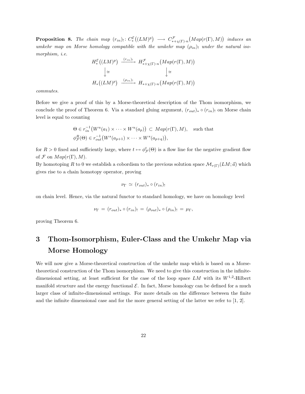**Proposition 8.** The chain map  $(r_{in})_! \colon C_*^{\mathcal{E}}((LM)^p) \longrightarrow C_{*+\chi(\Gamma)\cdot n}^{\mathcal{F}}(Map(r(\Gamma),M))$  induces an umkehr map on Morse homology compatible with the umkehr map  $(\rho_{in})$ ! under the natural isomorphism, i.e.

$$
H_*^{\mathcal{E}}((LM)^p) \xrightarrow{(r_{in})_!} H_{*+\chi(\Gamma)\cdot n}^{\mathcal{F}}(Map(r(\Gamma), M))
$$
  
\n
$$
\downarrow \cong \qquad \qquad \downarrow \cong
$$
  
\n
$$
H_*((LM)^p) \xrightarrow{(p_{in})_!} H_{*+\chi(\Gamma)\cdot n}(Map(r(\Gamma), M))
$$

commutes.

Before we give a proof of this by a Morse-theoretical description of the Thom isomorphism, we conclude the proof of Theorem 6. Via a standard gluing argument,  $(r_{out})_* \circ (r_{in})$  on Morse chain level is equal to counting

$$
\Theta \in r_{in}^{-1}(W^u(a_1) \times \cdots \times W^u(a_p)) \subset Map(r(\Gamma), M), \text{ such that}
$$
  

$$
\phi_{\mathcal{F}}^R(\Theta) \in r_{out}^{-1}(W^s(a_{p+1}) \times \cdots \times W^s(a_{p+q})),
$$

for  $R > 0$  fixed and sufficiently large, where  $t \mapsto \phi_{\mathcal{F}}^t(\Theta)$  is a flow line for the negative gradient flow of  $\mathcal F$  on  $Map(r(\Gamma), M)$ .

By homotoping R to 0 we establish a cobordism to the previous solution space  $\mathcal{M}_{r(\Gamma)}(LM;\vec{a})$  which gives rise to a chain homotopy operator, proving

$$
\nu_{\Gamma} \simeq (r_{out})_* \circ (r_{in})_!
$$

on chain level. Hence, via the natural functor to standard homology, we have on homology level

$$
\nu_{\Gamma} = (r_{out})_{*} \circ (r_{in})_{!} = (\rho_{out})_{*} \circ (\rho_{in})_{!} = \mu_{\Gamma},
$$

proving Theorem 6.

# 3 Thom-Isomorphism, Euler-Class and the Umkehr Map via Morse Homology

We will now give a Morse-theoretical construction of the umkehr map which is based on a Morsetheoretical construction of the Thom isomorphism. We need to give this construction in the infinitedimensional setting, at least sufficient for the case of the loop space  $LM$  with its  $W^{1,2}$ -Hilbert manifold structure and the energy functional  $\mathcal{E}$ . In fact, Morse homology can be defined for a much larger class of infinite-dimensional settings. For more details on the difference between the finite and the infinite dimensional case and for the more general setting of the latter we refer to [1, 2].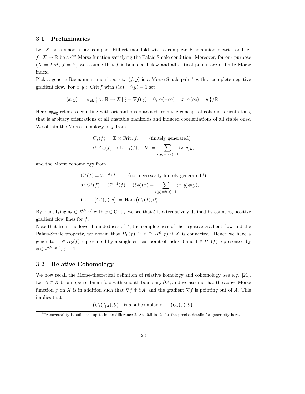### 3.1 Preliminaries

Let X be a smooth paracompact Hilbert manifold with a complete Riemannian metric, and let  $f: X \to \mathbb{R}$  be a  $C^2$  Morse function satisfying the Palais-Smale condition. Moreover, for our purpose  $(X = LM, f = \mathcal{E})$  we assume that f is bounded below and all critical points are of finite Morse index.

Pick a generic Riemannian metric g, s.t.  $(f, g)$  is a Morse-Smale-pair <sup>1</sup> with a complete negative gradient flow. For  $x, y \in \text{Crit } f$  with  $i(x) - i(y) = 1$  set

$$
\langle x,y\rangle = \#_{\text{alg}}\big\{\gamma\colon \mathbb{R}\to X\,|\, \dot{\gamma}+\nabla f(\gamma)=0,\ \gamma(-\infty)=x,\, \gamma(\infty)=y\,\big\}/\mathbb{R}\,.
$$

Here,  $\#_{\text{alg}}$  refers to counting with orientations obtained from the concept of coherent orientations, that is arbitary orientations of all unstable manifolds and induced coorientations of all stable ones. We obtain the Morse homology of  $f$  from

$$
C_*(f) = \mathbb{Z} \otimes \text{Crit}_* f, \qquad \text{(finitely generated)}
$$
  

$$
\partial: C_*(f) \to C_{*-1}(f), \quad \partial x = \sum_{i(y)=i(x)-1} \langle x, y \rangle y,
$$

and the Morse cohomology from

$$
C^*(f) = \mathbb{Z}^{\text{Crit}_* f}, \qquad \text{(not necessarily finitely generated !)}
$$

$$
\delta: C^*(f) \to C^{*+1}(f), \quad (\delta\phi)(x) = \sum_{i(y)=i(x)-1} \langle x, y \rangle \phi(y),
$$
  
i.e. 
$$
(C^*(f), \delta) = \text{Hom}(C_*(f), \partial).
$$

By identifying  $\delta_x \in \mathbb{Z}^{\text{Crit } f}$  with  $x \in \text{Crit } f$  we see that  $\delta$  is alternatively defined by counting positive gradient flow lines for  $f$ .

Note that from the lower boundedness of  $f$ , the completeness of the negative gradient flow and the Palais-Smale property, we obtain that  $H_0(f) \cong \mathbb{Z} \cong H^0(f)$  if X is connected. Hence we have a generator  $1 \in H_0(f)$  represented by a single critical point of index 0 and  $1 \in H^0(f)$  represented by  $\phi \in \mathbb{Z}^{\mathrm{Crit}_0 f}, \phi \equiv 1.$ 

### 3.2 Relative Cohomology

We now recall the Morse-theoretical definition of relative homology and cohomology, see e.g. [21]. Let  $A \subset X$  be an open submanifold with smooth boundary  $\partial A$ , and we assume that the above Morse function f on X is in addition such that  $\nabla f \wedge \partial A$ , and the gradient  $\nabla f$  is pointing out of A. This implies that

 $(C_*(f_{|A}), \partial)$  is a subcomplex of  $(C_*(f), \partial)$ ,

<sup>&</sup>lt;sup>1</sup>Transversality is sufficient up to index difference 2. See 0.5 in [2] for the precise details for genericity here.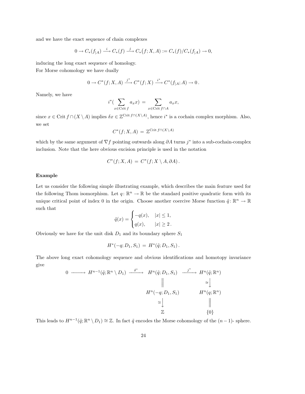and we have the exact sequence of chain complexes

$$
0 \to C_*(f_{|A}) \xrightarrow{i} C_*(f) \xrightarrow{j} C_*(f;X,A) := C_*(f)/C_*(f_{|A}) \to 0,
$$

inducing the long exact sequence of homology. For Morse cohomology we have dually

$$
0 \to C^*(f; X, A) \xrightarrow{j^*} C^*(f; X) \xrightarrow{i^*} C^*(f_{|A}; A) \to 0.
$$

Namely, we have

$$
i^*(\sum_{x \in \text{Crit } f} a_x x) = \sum_{x \in \text{Crit } f \cap A} a_x x,
$$

since  $x \in \text{Crit } f \cap (X \setminus A)$  implies  $\delta x \in \mathbb{Z}^{\text{Crit } f \cap (X \setminus A)}$ , hence  $i^*$  is a cochain complex morphism. Also, we set

$$
C^*(f;X,A) = \mathbb{Z}^{\text{Crit }f \cap (X \setminus A)}
$$

which by the same argument of  $\nabla f$  pointing outwards along  $\partial A$  turns j\* into a sub-cochain-complex inclusion. Note that the here obvious excision principle is used in the notation

$$
C^*(f;X,A) = C^*(f;X \setminus A, \partial A).
$$

### Example

Let us consider the following simple illustrating example, which describes the main feature used for the following Thom isomorphism. Let  $q: \mathbb{R}^n \to \mathbb{R}$  be the standard positive quadratic form with its unique critical point of index 0 in the origin. Choose another coercive Morse function  $\tilde{q} \colon \mathbb{R}^n \to \mathbb{R}$ such that

$$
\tilde{q}(x) = \begin{cases}\n-q(x), & |x| \le 1, \\
q(x), & |x| \ge 2.\n\end{cases}
$$

Obviously we have for the unit disk  $D_1$  and its boundary sphere  $S_1$ 

$$
H^*(-q; D_1, S_1) = H^*(\tilde{q}; D_1, S_1).
$$

The above long exact cohomology sequence and obvious identifications and homotopy invariance give

$$
0 \longrightarrow H^{n-1}(\tilde{q}; \mathbb{R}^n \setminus D_1) \xrightarrow{\delta^*} H^n(\tilde{q}; D_1, S_1) \xrightarrow{j^*} H^n(\tilde{q}; \mathbb{R}^n)
$$
  
\n
$$
\parallel \qquad \qquad \cong \qquad \qquad \downarrow
$$
  
\n
$$
H^n(-q; D_1, S_1) \qquad \qquad H^n(q; \mathbb{R}^n)
$$
  
\n
$$
\cong \qquad \qquad \downarrow
$$
  
\n
$$
\mathbb{Z} \qquad \qquad \downarrow
$$
  
\n
$$
\{0\}
$$

This leads to  $H^{n-1}(\tilde{q}; \mathbb{R}^n \setminus D_1) \cong \mathbb{Z}$ . In fact  $\tilde{q}$  encodes the Morse cohomology of the  $(n-1)$ - sphere.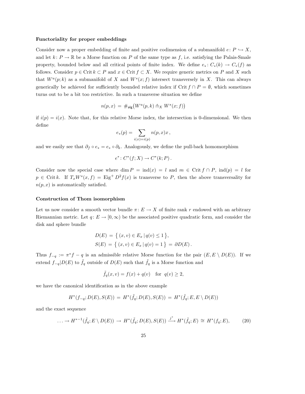#### Functoriality for proper embeddings

Consider now a proper embedding of finite and positive codimension of a submanifold  $e: P \hookrightarrow X$ , and let  $k: P \to \mathbb{R}$  be a Morse function on P of the same type as f, i.e. satisfying the Palais-Smale property, bounded below and all critical points of finite index. We define  $e_*: C_*(k) \to C_*(f)$  as follows. Consider  $p \in \text{Crit } k \subset P$  and  $x \in \text{Crit } f \subset X$ . We require generic metrics on P and X such that  $W^u(p;k)$  as a submanifold of X and  $W^s(x;f)$  intersect transversely in X. This can always generically be achieved for sufficiently bounded relative index if Crit  $f \cap P = \emptyset$ , which sometimes turns out to be a bit too restrictive. In such a transverse situation we define

$$
n(p,x) = \#_{\text{alg}}(W^u(p,k) \uparrow_X W^s(x;f))
$$

if  $i(p) = i(x)$ . Note that, for this relative Morse index, the intersection is 0-dimensional. We then define

$$
e_*(p)=\sum_{i(x)=i(p)}n(p,x)x\,,
$$

and we easily see that  $\partial_f \circ e_* = e_* \circ \partial_k$ . Analogously, we define the pull-back homomorphism

$$
e^*: C^*(f;X) \to C^*(k;P)
$$
.

Consider now the special case where dim  $P = \text{ind}(x) = l$  and  $m \in \text{Crit } f \cap P$ ,  $\text{ind}(p) = l$  for  $p \in \text{Crit } k$ . If  $T_x W^s(x, f) = \text{Eig}^+ D^2 f(x)$  is transverse to P, then the above transversality for  $n(p, x)$  is automatically satisfied.

#### Construction of Thom isomorphism

Let us now consider a smooth vector bundle  $\pi: E \to X$  of finite rank r endowed with an arbitrary Riemannian metric. Let  $q: E \to [0, \infty)$  be the associated positive quadratic form, and consider the disk and sphere bundle

$$
D(E) = \{ (x, v) \in E_x | q(v) \le 1 \},
$$
  
\n
$$
S(E) = \{ (x, v) \in E_x | q(v) = 1 \} = \partial D(E).
$$

Thus  $f_{-q} := \pi^* f - q$  is an admissible relative Morse function for the pair  $(E, E \setminus D(E))$ . If we extend  $f_{-q}|D(E)$  to  $\tilde{f}_q$  outside of  $D(E)$  such that  $\tilde{f}_q$  is a Morse function and

$$
\tilde{f}_q(x,v) = f(x) + q(v) \quad \text{for} \ \ q(v) \ge 2,
$$

we have the canonical identification as in the above example

$$
H^*(f_{-q}; D(E), S(E)) = H^*(\tilde{f}_q; D(E), S(E)) = H^*(\tilde{f}_q; E, E \setminus D(E))
$$

and the exact sequence

$$
\ldots \to H^{*-1}(\tilde{f}_q; E \setminus D(E)) \to H^*(\tilde{f}_q; D(E), S(E)) \xrightarrow{j^*} H^*(\tilde{f}_q; E) \cong H^*(f_q; E), \tag{20}
$$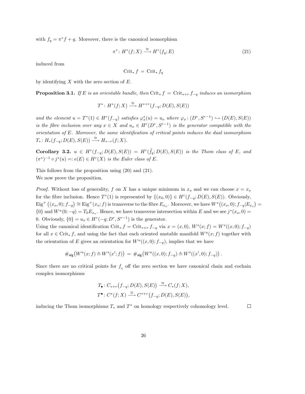with  $f_q = \pi^* f + q$ . Moreover, there is the canonical isomorphism

$$
\pi^* \colon H^*(f;X) \xrightarrow{\cong} H^*(f_q;E) \tag{21}
$$

induced from

$$
\operatorname{Crit}_* f = \operatorname{Crit}_* f_q
$$

by identifying  $X$  with the zero section of  $E$ .

**Proposition 3.1.** If E is an orientable bundle, then Crit<sub>∗</sub> f = Crit<sub>∗+r</sub> f<sub>-q</sub> induces an isomorphism

$$
T^*: H^*(f;X) \xrightarrow{\cong} H^{*+r}(f_{-q}; D(E), S(E))
$$

and the element  $u = T^*(1) \in H^r(f_{-q})$  satisfies  $\varphi_x^*(u) = u_o$  where  $\varphi_x \colon (D^r, S^{r-1}) \hookrightarrow (D(E), S(E))$ is the fibre inclusion over any  $x \in X$  and  $u_o \in H^r(D^r, S^{r-1})$  is the generator compatible with the orientation of E. Moreover, the same identification of critical points induces the dual isomorphism  $T_*: H_*(f_{-q}; D(E), S(E)) \stackrel{\cong}{\longrightarrow} H_{*-r}(f;X).$ 

Corollary 3.2.  $u \in H^r(f_{-q}; D(E), S(E)) = H^r(\tilde{f}_q; D(E), S(E))$  is the Thom class of E, and  $(\pi^*)^{-1} \circ j^*(u) =: e(E) \in H^r(X)$  is the Euler class of E.

This follows from the proposition using (20) and (21). We now prove the proposition.

*Proof.* Without loss of generality, f on X has a unique minimum in  $x<sub>o</sub>$  and we can choose  $x = x<sub>o</sub>$ for the fibre inclusion. Hence  $T^*(1)$  is represented by  $\{(x_0, 0)\}\in H^r(f_{-q}; D(E), S(E))$ . Obviously,  $\text{Eig}^+\left((x_o, 0); f_{-q}\right) \cong \text{Eig}^+(x_o; f)$  is transverse to the fibre  $E_{x_o}$ . Moreover, we have  $W^s((x_o, 0); f_{-q}|E_{x_o}) =$  $\{0\}$  and  $W^u(0; -q) = T_0 E_{x_o}$ . Hence, we have transverse intersection within E and we see  $j^*(x_o, 0) =$ 0. Obviously,  $\{0\} = u_o \in H^r(-q; D^r, S^{r-1})$  is the generator.

Using the canonical identification Crit<sub>\*</sub>  $f = \text{Crit}_{*+r} f_{-q}$  via  $x = (x, 0), W^s(x; f) = W^s((x, 0); f_{-q})$ for all  $x \in \text{Crit}_* f$ , and using the fact that each oriented unstable manifold  $W^u(x; f)$  together with the orientation of E gives an orientation for  $W^u((x,0); f_{-q})$ , implies that we have

$$
\#_{\text{alg}} \big( W^u(x; f) \pitchfork W^s(x'; f) \big) \, = \, \#_{\text{alg}} \big( W^u((x, 0); f_{-q}) \pitchfork W^s((x', 0); f_{-q}) \big) \, .
$$

Since there are no critical points for  $f<sub>g</sub>$  off the zero section we have canonical chain and cochain complex isomorphisms

$$
T_{\bullet}: C_{*+r}(f_{-q}; D(E), S(E)) \stackrel{\cong}{\longrightarrow} C_{*}(f; X),
$$
  

$$
T^{\bullet}: C^{*}(f; X) \stackrel{\cong}{\longrightarrow} C^{*+r}(f_{-q}; D(E), S(E)),
$$

inducing the Thom isomorphisms  $T_*$  and  $T^*$  on homology respectively cohomology level.

 $\Box$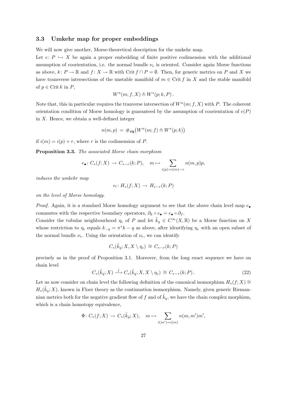### 3.3 Umkehr map for proper embeddings

We will now give another, Morse-theoretical description for the umkehr map.

Let  $e: P \hookrightarrow X$  be again a proper embedding of finite positive codimension with the additional assumption of coorientation, i.e. the normal bundle  $\nu_e$  is oriented. Consider again Morse functions as above,  $k: P \to \mathbb{R}$  and  $f: X \to \mathbb{R}$  with Crit  $f \cap P = \emptyset$ . Then, for generic metrics on P and X we have transverse intersections of the unstable manifold of  $m \in \text{Crit } f$  in X and the stable manifold of  $p \in \text{Crit } k$  in P,

$$
W^u(m; f, X) \pitchfork W^s(p; k, P).
$$

Note that, this in particular requires the tranverse intersection of  $W^u(m; f, X)$  with P. The coherent orientation condition of Morse homology is guaranteed by the assumption of coorientation of  $e(P)$ in  $X$ . Hence, we obtain a well-defined integer

$$
n(m, p) = \#_{\text{alg}}(W^u(m; f) \pitchfork W^s(p; k))
$$

if  $i(m) = i(p) + r$ , where r is the codimension of P.

Proposition 3.3. The associated Morse chain morphism

$$
e_{\bullet}: C_*(f;X) \to C_{*-r}(k;P), \quad m \mapsto \sum_{i(p)=i(m)-r} n(m,p)p,
$$

induces the umkehr map

$$
e_! \colon H_*(f;X) \to H_{*-r}(k;P)
$$

on the level of Morse homology.

*Proof.* Again, it is a standard Morse homology argument to see that the above chain level map  $e_{\bullet}$ commutes with the respective boundary operators,  $\partial_k \circ e_{\bullet} = e_{\bullet} \circ \partial_f$ .

Consider the tubular neighbourhood  $\eta_e$  of P and let  $\tilde{k}_q \in C^{\infty}(X,\mathbb{R})$  be a Morse function on X whose restriction to  $\eta_e$  equals  $k_{-q} = \pi^* k - q$  as above, after identifying  $\eta_e$  with an open subset of the normal bundle  $\nu_e$ . Using the orientation of  $\nu_e$ , we can identify

$$
C_*(\tilde{k}_q; X, X \setminus \eta_e) \cong C_{*-r}(k; P)
$$

precisely as in the proof of Proposition 3.1. Moreover, from the long exact sequence we have on chain level

$$
C_*(\tilde{k}_q; X) \xrightarrow{j} C_*(\tilde{k}_q; X, X \setminus \eta_e) \cong C_{*-r}(k; P).
$$
\n
$$
(22)
$$

Let us now consider on chain level the following definition of the canonical isomorphism  $H_*(f; X) \cong$  $H_*(\tilde{k}_q; X)$ , known in Floer theory as the continuation isomorphism. Namely, given generic Riemannian metrics both for the negative gradient flow of f and of  $k_q$ , we have the chain complex morphism, which is a chain homotopy equivalence,

$$
\Phi\colon C_*(f;X)\to C_*(\tilde k_q;X),\quad m\mapsto \sum_{i(m')=i(m)}n(m,m')m',
$$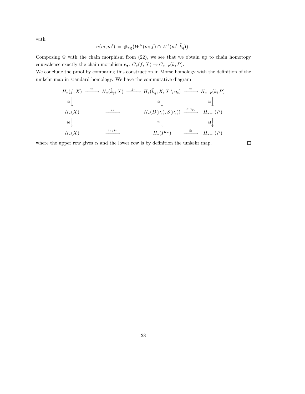with

$$
n(m, m') = \#_{\text{alg}} \big( W^u(m; f) \pitchfork W^s(m'; \tilde{k}_q) \big) .
$$

Composing  $\Phi$  with the chain morphism from (22), we see that we obtain up to chain homotopy equivalence exactly the chain morphism  $e_\bullet\colon C_*(f;X)\to C_{*-r}(k;P).$ 

We conclude the proof by comparing this construction in Morse homology with the definition of the umkehr map in standard homology. We have the commutative diagram

H∗(f; X) <sup>∼</sup><sup>=</sup> −−−−→ <sup>H</sup>∗( ˜kq; X) <sup>j</sup><sup>∗</sup> −−−−→ <sup>H</sup>∗( ˜kq; X, X \ ηe) <sup>∼</sup><sup>=</sup> −−−−→ <sup>H</sup>∗−<sup>r</sup>(k; <sup>P</sup>) ∼= <sup>y</sup> <sup>∼</sup><sup>=</sup> <sup>y</sup> <sup>∼</sup><sup>=</sup> y H∗(X) <sup>j</sup><sup>∗</sup> −−−−→ <sup>H</sup>∗(D(νe), S(νe)) ·∩uνe −−−−→ <sup>H</sup>∗−<sup>r</sup>(P) id <sup>y</sup> <sup>∼</sup><sup>=</sup> y id y H∗(X) (τe)<sup>∗</sup> −−−−→ <sup>H</sup>∗(<sup>P</sup> <sup>ν</sup><sup>e</sup> ) <sup>∼</sup><sup>=</sup> −−−−→ <sup>H</sup>∗−<sup>r</sup>(P)

where the upper row gives  $e_!$  and the lower row is by definition the umkehr map.

 $\Box$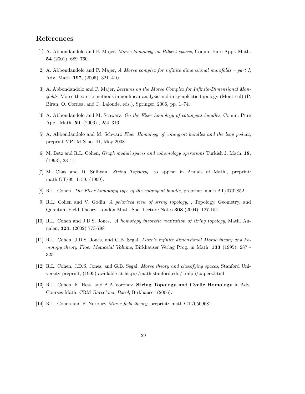# References

- [1] A. Abbondandolo and P. Majer, Morse homology on Hilbert spaces, Comm. Pure Appl. Math. 54 (2001), 689–760.
- [2] A. Abbondandolo and P. Majer, A Morse complex for infinite dimensional manifolds part I, Adv. Math. 197, (2005), 321–410.
- [3] A. Abbondandolo and P. Majer, Lectures on the Morse Complex for Infinite-Dimensional Manifolds, Morse theoretic methods in nonlinear analysis and in symplectic topology (Montreal) (P. Biran, O. Cornea, and F. Lalonde, eds.), Springer, 2006, pp. 1–74.
- [4] A. Abbondandolo and M. Schwarz, On the Floer homology of cotangent bundles, Comm. Pure Appl. Math. 59, (2006) , 254–316.
- [5] A. Abbondandolo and M. Schwarz Floer Homology of cotangent bundles and the loop poduct, preprint MPI MIS no. 41, May 2008.
- [6] M. Betz and R.L. Cohen, Graph moduli spaces and cohomology operations Turkish J. Math. 18, (1993), 23-41.
- [7] M. Chas and D. Sullivan, String Topology, to appear in Annals of Math., preprint: math.GT/9911159, (1999).
- [8] R.L. Cohen, The Floer homotopy type of the cotangent bundle, preprint: math.AT/0702852
- [9] R.L. Cohen and V. Godin, A polarized view of string topology, , Topology, Geometry, and Quantum Field Theory, London Math. Soc. Lecture Notes 308 (2004), 127-154.
- [10] R.L. Cohen and J.D.S. Jones, A homotopy theoretic realization of string topology, Math. Annalen, 324, (2002) 773-798 .
- [11] R.L. Cohen, J.D.S. Jones, and G.B. Segal, Floer's infinite dimensional Morse theory and homotopy theory Floer Memorial Volume, Birkhauser Verlag Prog. in Math. 133 (1995), 287 - 325.
- [12] R.L. Cohen, J.D.S. Jones, and G.B. Segal, Morse theory and classifying spaces, Stanford University preprint, (1995) available at http://math.stanford.edu/˜ralph/papers.html
- [13] R.L. Cohen, K. Hess, and A.A Voronov, **String Topology and Cyclic Homology** in Adv. Courses Math. CRM Barcelona, Basel, Birkhauser (2006).
- [14] R.L. Cohen and P. Norbury Morse field theory, preprint: math.GT/0509681